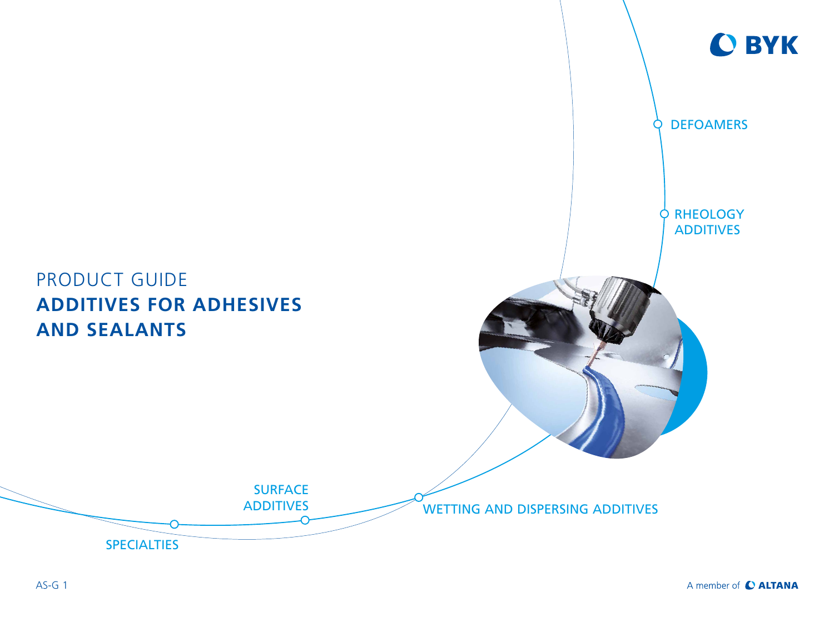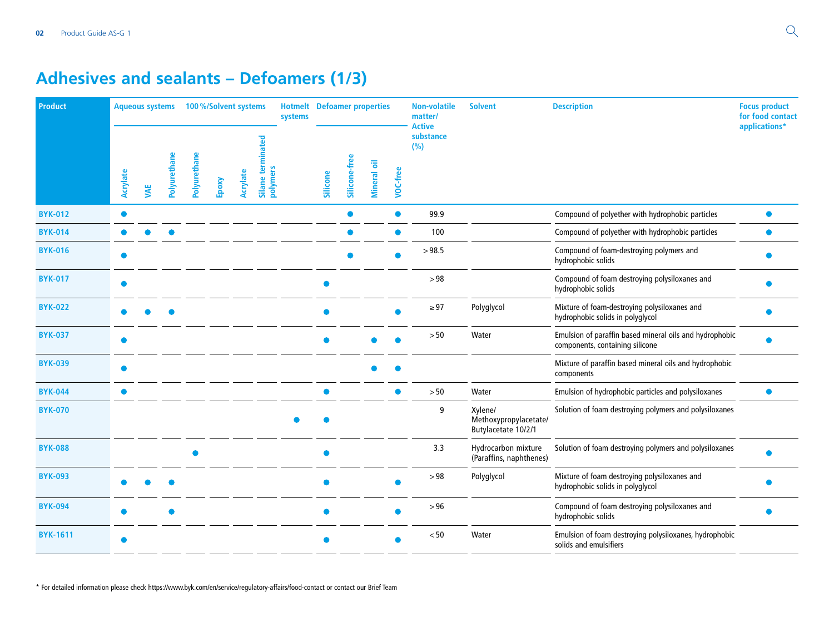## **Adhesives and sealants – Defoamers (1/3)**

| <b>Product</b>  |           | <b>Aqueous systems</b> |              | 100%/Solvent systems |       |          |                                                  | <b>Hotmelt</b> Defoamer properties<br>systems |           |               |                    |          | <b>Non-volatile</b><br>matter/<br><b>Active</b> | <b>Solvent</b>                                          | <b>Description</b>                                                                         | <b>Focus product</b><br>for food contact<br>applications* |
|-----------------|-----------|------------------------|--------------|----------------------|-------|----------|--------------------------------------------------|-----------------------------------------------|-----------|---------------|--------------------|----------|-------------------------------------------------|---------------------------------------------------------|--------------------------------------------------------------------------------------------|-----------------------------------------------------------|
|                 | Acrylate  | <b>WKE</b>             | Polyurethane | Polyurethane         | Epoxy | Acrylate | ဥ<br>terminat<br>polymers<br>Silane <sup>-</sup> |                                               | Silicone  | Silicone-free | <b>Mineral oil</b> | VOC-free | substance<br>(%)                                |                                                         |                                                                                            |                                                           |
| <b>BYK-012</b>  |           |                        |              |                      |       |          |                                                  |                                               |           |               |                    | ●        | 99.9                                            |                                                         | Compound of polyether with hydrophobic particles                                           |                                                           |
| <b>BYK-014</b>  |           |                        |              |                      |       |          |                                                  |                                               |           |               |                    |          | 100                                             |                                                         | Compound of polyether with hydrophobic particles                                           |                                                           |
| <b>BYK-016</b>  |           |                        |              |                      |       |          |                                                  |                                               |           |               |                    |          | >98.5                                           |                                                         | Compound of foam-destroying polymers and<br>hydrophobic solids                             |                                                           |
| <b>BYK-017</b>  |           |                        |              |                      |       |          |                                                  |                                               |           |               |                    |          | > 98                                            |                                                         | Compound of foam destroying polysiloxanes and<br>hydrophobic solids                        |                                                           |
| <b>BYK-022</b>  |           |                        |              |                      |       |          |                                                  |                                               |           |               |                    |          | $\geq 97$                                       | Polyglycol                                              | Mixture of foam-destroying polysiloxanes and<br>hydrophobic solids in polyglycol           |                                                           |
| <b>BYK-037</b>  |           |                        |              |                      |       |          |                                                  |                                               |           |               |                    |          | > 50                                            | Water                                                   | Emulsion of paraffin based mineral oils and hydrophobic<br>components, containing silicone |                                                           |
| <b>BYK-039</b>  |           |                        |              |                      |       |          |                                                  |                                               |           |               |                    |          |                                                 |                                                         | Mixture of paraffin based mineral oils and hydrophobic<br>components                       |                                                           |
| <b>BYK-044</b>  | $\bullet$ |                        |              |                      |       |          |                                                  |                                               | $\bullet$ |               |                    | ●        | > 50                                            | Water                                                   | Emulsion of hydrophobic particles and polysiloxanes                                        | $\bullet$                                                 |
| <b>BYK-070</b>  |           |                        |              |                      |       |          |                                                  |                                               |           |               |                    |          | 9                                               | Xylene/<br>Methoxypropylacetate/<br>Butylacetate 10/2/1 | Solution of foam destroying polymers and polysiloxanes                                     |                                                           |
| <b>BYK-088</b>  |           |                        |              |                      |       |          |                                                  |                                               |           |               |                    |          | 3.3                                             | Hydrocarbon mixture<br>(Paraffins, naphthenes)          | Solution of foam destroying polymers and polysiloxanes                                     |                                                           |
| <b>BYK-093</b>  |           |                        |              |                      |       |          |                                                  |                                               |           |               |                    |          | >98                                             | Polyglycol                                              | Mixture of foam destroying polysiloxanes and<br>hydrophobic solids in polyglycol           |                                                           |
| <b>BYK-094</b>  |           |                        |              |                      |       |          |                                                  |                                               |           |               |                    |          | >96                                             |                                                         | Compound of foam destroying polysiloxanes and<br>hydrophobic solids                        |                                                           |
| <b>BYK-1611</b> |           |                        |              |                      |       |          |                                                  |                                               |           |               |                    |          | < 50                                            | Water                                                   | Emulsion of foam destroying polysiloxanes, hydrophobic<br>solids and emulsifiers           |                                                           |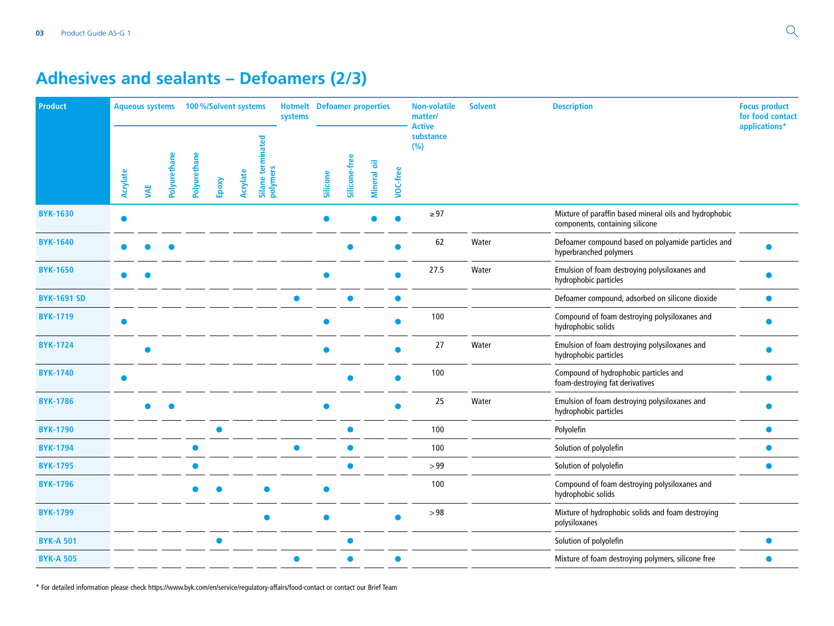## **Adhesives and sealants – Defoamers (2/3)**

| Product            |          | <b>Aqueous systems</b> |              | 100%/Solvent systems |       |          |                                      | <b>Hotmelt</b> Defoamer properties<br>systems |          |               |                    |          | <b>Non-volatile</b><br>matter/<br><b>Active</b> | <b>Solvent</b> | <b>Description</b>                                                                        | <b>Focus product</b><br>for food contact<br>applications* |
|--------------------|----------|------------------------|--------------|----------------------|-------|----------|--------------------------------------|-----------------------------------------------|----------|---------------|--------------------|----------|-------------------------------------------------|----------------|-------------------------------------------------------------------------------------------|-----------------------------------------------------------|
|                    | Acrylate | <b>WE</b>              | Polyurethane | Polyurethane         | Epoxy | Acrylate | ್ಠಾ<br>Ē<br>ēn<br>polymers<br>Silane |                                               | Silicone | Silicone-free | <b>Mineral oil</b> | VOC-free | substance<br>(%)                                |                |                                                                                           |                                                           |
| <b>BYK-1630</b>    |          |                        |              |                      |       |          |                                      |                                               |          |               |                    |          | $\geq 97$                                       |                | Mixture of paraffin based mineral oils and hydrophobic<br>components, containing silicone |                                                           |
| <b>BYK-1640</b>    |          |                        |              |                      |       |          |                                      |                                               |          |               |                    |          | 62                                              | Water          | Defoamer compound based on polyamide particles and<br>hyperbranched polymers              |                                                           |
| <b>BYK-1650</b>    |          |                        |              |                      |       |          |                                      |                                               |          |               |                    |          | 27.5                                            | Water          | Emulsion of foam destroying polysiloxanes and<br>hydrophobic particles                    |                                                           |
| <b>BYK-1691 SD</b> |          |                        |              |                      |       |          |                                      |                                               |          |               |                    |          |                                                 |                | Defoamer compound, adsorbed on silicone dioxide                                           |                                                           |
| <b>BYK-1719</b>    |          |                        |              |                      |       |          |                                      |                                               |          |               |                    |          | 100                                             |                | Compound of foam destroying polysiloxanes and<br>hydrophobic solids                       |                                                           |
| <b>BYK-1724</b>    |          |                        |              |                      |       |          |                                      |                                               |          |               |                    |          | 27                                              | Water          | Emulsion of foam destroying polysiloxanes and<br>hydrophobic particles                    |                                                           |
| <b>BYK-1740</b>    |          |                        |              |                      |       |          |                                      |                                               |          |               |                    |          | 100                                             |                | Compound of hydrophobic particles and<br>foam-destroying fat derivatives                  |                                                           |
| <b>BYK-1786</b>    |          |                        |              |                      |       |          |                                      |                                               |          |               |                    |          | 25                                              | Water          | Emulsion of foam destroying polysiloxanes and<br>hydrophobic particles                    |                                                           |
| <b>BYK-1790</b>    |          |                        |              |                      |       |          |                                      |                                               |          |               |                    |          | 100                                             |                | Polyolefin                                                                                |                                                           |
| <b>BYK-1794</b>    |          |                        |              |                      |       |          |                                      |                                               |          |               |                    |          | 100                                             |                | Solution of polyolefin                                                                    |                                                           |
| <b>BYK-1795</b>    |          |                        |              |                      |       |          |                                      |                                               |          |               |                    |          | >99                                             |                | Solution of polyolefin                                                                    | $\bullet$                                                 |
| <b>BYK-1796</b>    |          |                        |              |                      |       |          |                                      |                                               |          |               |                    |          | 100                                             |                | Compound of foam destroying polysiloxanes and<br>hydrophobic solids                       |                                                           |
| <b>BYK-1799</b>    |          |                        |              |                      |       |          |                                      |                                               |          |               |                    |          | >98                                             |                | Mixture of hydrophobic solids and foam destroying<br>polysiloxanes                        |                                                           |
| <b>BYK-A 501</b>   |          |                        |              |                      | ●     |          |                                      |                                               |          |               |                    |          |                                                 |                | Solution of polyolefin                                                                    |                                                           |
| <b>BYK-A 505</b>   |          |                        |              |                      |       |          |                                      |                                               |          |               |                    |          |                                                 |                | Mixture of foam destroying polymers, silicone free                                        |                                                           |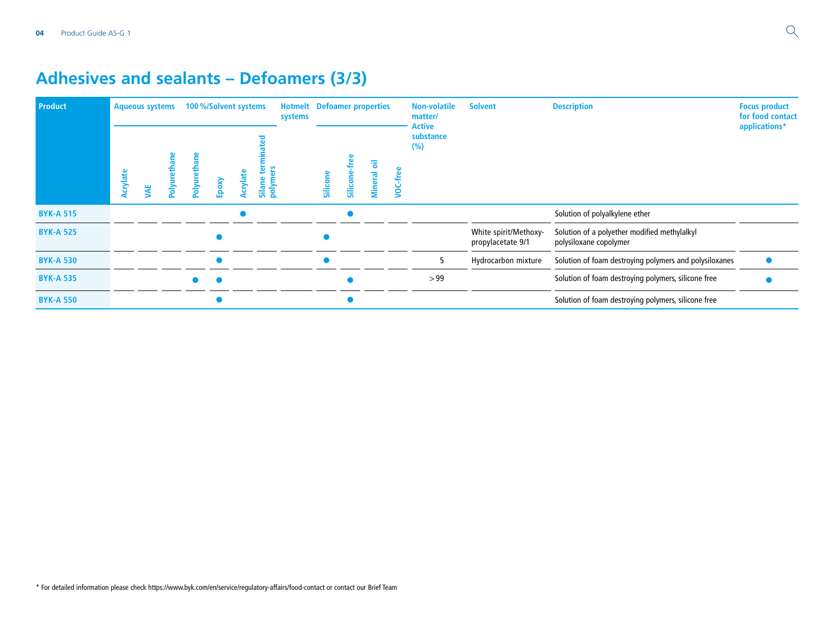## **Adhesives and sealants – Defoamers (3/3)**

| <b>Product</b>   | <b>Aqueous systems</b> |    |     |              | 100%/Solvent systems |          |                  | <b>Hotmelt</b> Defoamer properties<br>systems |          |         |                     |        | <b>Non-volatile</b><br>matter/<br>Active | <b>Solvent</b>                             | <b>Description</b>                                                     | <b>Focus product</b><br>for food contact<br>applications* |
|------------------|------------------------|----|-----|--------------|----------------------|----------|------------------|-----------------------------------------------|----------|---------|---------------------|--------|------------------------------------------|--------------------------------------------|------------------------------------------------------------------------|-----------------------------------------------------------|
|                  | Acrylate               | ÄE | ∕le | Polyurethane | Epoxy                | Acrylate | Silane<br>polyme |                                               | Silicone | Silicon | ᄛ<br><b>Mineral</b> | ن<br>و | substance<br>(%)                         |                                            |                                                                        |                                                           |
| <b>BYK-A 515</b> |                        |    |     |              |                      |          |                  |                                               |          |         |                     |        |                                          |                                            | Solution of polyalkylene ether                                         |                                                           |
| <b>BYK-A 525</b> |                        |    |     |              |                      |          |                  |                                               |          |         |                     |        |                                          | White spirit/Methoxy-<br>propylacetate 9/1 | Solution of a polyether modified methylalkyl<br>polysiloxane copolymer |                                                           |
| <b>BYK-A 530</b> |                        |    |     |              |                      |          |                  |                                               |          |         |                     |        |                                          | Hydrocarbon mixture                        | Solution of foam destroying polymers and polysiloxanes                 |                                                           |
| <b>BYK-A 535</b> |                        |    |     |              |                      |          |                  |                                               |          |         |                     |        | >99                                      |                                            | Solution of foam destroying polymers, silicone free                    |                                                           |
| <b>BYK-A 550</b> |                        |    |     |              |                      |          |                  |                                               |          |         |                     |        |                                          |                                            | Solution of foam destroying polymers, silicone free                    |                                                           |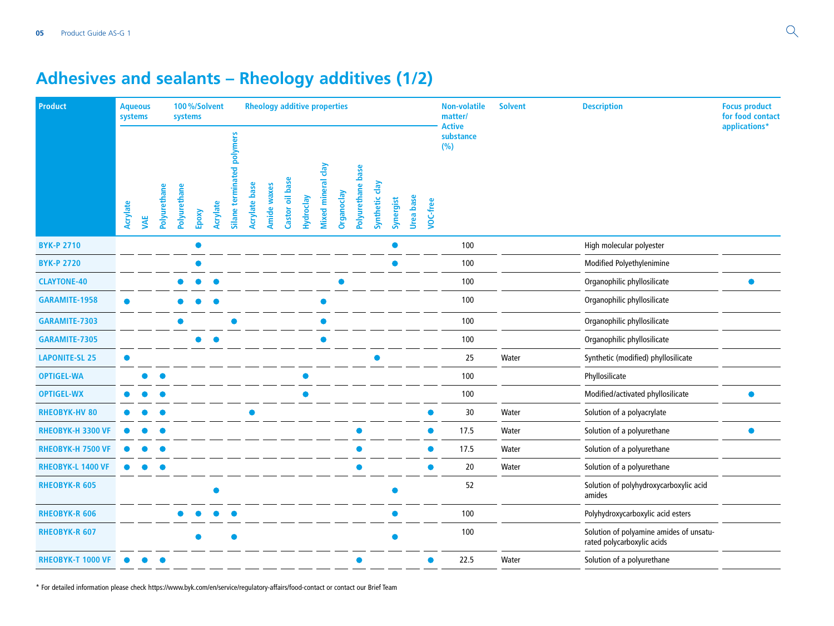# **Adhesives and sealants – Rheology additives (1/2)**

| Product                  | <b>Aqueous</b><br>systems |     |              | systems      |       | 100%/Solvent |                               |               | <b>Rheology additive properties</b> |                 |           |                             |            |                   |                |           |                  |          | <b>Non-volatile</b><br>matter/    | <b>Solvent</b> | <b>Description</b>                                                    | <b>Focus product</b><br>for food contact |
|--------------------------|---------------------------|-----|--------------|--------------|-------|--------------|-------------------------------|---------------|-------------------------------------|-----------------|-----------|-----------------------------|------------|-------------------|----------------|-----------|------------------|----------|-----------------------------------|----------------|-----------------------------------------------------------------------|------------------------------------------|
|                          | Acrylate                  | VAE | Polyurethane | Polyurethane | Epoxy | Acrylate     | polymers<br>Silane terminated | Acrylate base | <b>Amide waxes</b>                  | Castor oil base | Hydroclay | day<br><b>Mixed mineral</b> | Organoclay | Polyurethane base | Synthetic clay | Synergist | <b>Urea</b> base | VOC-free | <b>Active</b><br>substance<br>(%) |                |                                                                       | applications*                            |
| <b>BYK-P 2710</b>        |                           |     |              |              |       |              |                               |               |                                     |                 |           |                             |            |                   |                |           |                  |          | 100                               |                | High molecular polyester                                              |                                          |
| <b>BYK-P 2720</b>        |                           |     |              |              |       |              |                               |               |                                     |                 |           |                             |            |                   |                |           |                  |          | 100                               |                | Modified Polyethylenimine                                             |                                          |
| <b>CLAYTONE-40</b>       |                           |     |              |              |       |              |                               |               |                                     |                 |           |                             |            |                   |                |           |                  |          | 100                               |                | Organophilic phyllosilicate                                           |                                          |
| GARAMITE-1958            | ●                         |     |              |              |       |              |                               |               |                                     |                 |           |                             |            |                   |                |           |                  |          | 100                               |                | Organophilic phyllosilicate                                           |                                          |
| GARAMITE-7303            |                           |     |              |              |       |              |                               |               |                                     |                 |           |                             |            |                   |                |           |                  |          | 100                               |                | Organophilic phyllosilicate                                           |                                          |
| GARAMITE-7305            |                           |     |              |              |       |              |                               |               |                                     |                 |           |                             |            |                   |                |           |                  |          | 100                               |                | Organophilic phyllosilicate                                           |                                          |
| <b>LAPONITE-SL 25</b>    |                           |     |              |              |       |              |                               |               |                                     |                 |           |                             |            |                   |                |           |                  |          | 25                                | Water          | Synthetic (modified) phyllosilicate                                   |                                          |
| <b>OPTIGEL-WA</b>        |                           |     |              |              |       |              |                               |               |                                     |                 |           |                             |            |                   |                |           |                  |          | 100                               |                | Phyllosilicate                                                        |                                          |
| <b>OPTIGEL-WX</b>        |                           |     |              |              |       |              |                               |               |                                     |                 |           |                             |            |                   |                |           |                  |          | 100                               |                | Modified/activated phyllosilicate                                     |                                          |
| <b>RHEOBYK-HV 80</b>     |                           |     |              |              |       |              |                               |               |                                     |                 |           |                             |            |                   |                |           |                  |          | 30                                | Water          | Solution of a polyacrylate                                            |                                          |
| RHEOBYK-H 3300 VF        |                           |     |              |              |       |              |                               |               |                                     |                 |           |                             |            |                   |                |           |                  |          | 17.5                              | Water          | Solution of a polyurethane                                            | $\bullet$                                |
| RHEOBYK-H 7500 VF        |                           |     |              |              |       |              |                               |               |                                     |                 |           |                             |            |                   |                |           |                  |          | 17.5                              | Water          | Solution of a polyurethane                                            |                                          |
| <b>RHEOBYK-L 1400 VF</b> |                           |     |              |              |       |              |                               |               |                                     |                 |           |                             |            |                   |                |           |                  |          | 20                                | Water          | Solution of a polyurethane                                            |                                          |
| <b>RHEOBYK-R 605</b>     |                           |     |              |              |       |              |                               |               |                                     |                 |           |                             |            |                   |                |           |                  |          | 52                                |                | Solution of polyhydroxycarboxylic acid<br>amides                      |                                          |
| <b>RHEOBYK-R 606</b>     |                           |     |              |              |       |              |                               |               |                                     |                 |           |                             |            |                   |                |           |                  |          | 100                               |                | Polyhydroxycarboxylic acid esters                                     |                                          |
| <b>RHEOBYK-R 607</b>     |                           |     |              |              |       |              | O                             |               |                                     |                 |           |                             |            |                   |                |           |                  |          | 100                               |                | Solution of polyamine amides of unsatu-<br>rated polycarboxylic acids |                                          |
| <b>RHEOBYK-T 1000 VF</b> |                           |     |              |              |       |              |                               |               |                                     |                 |           |                             |            | ●                 |                |           |                  |          | 22.5                              | Water          | Solution of a polyurethane                                            |                                          |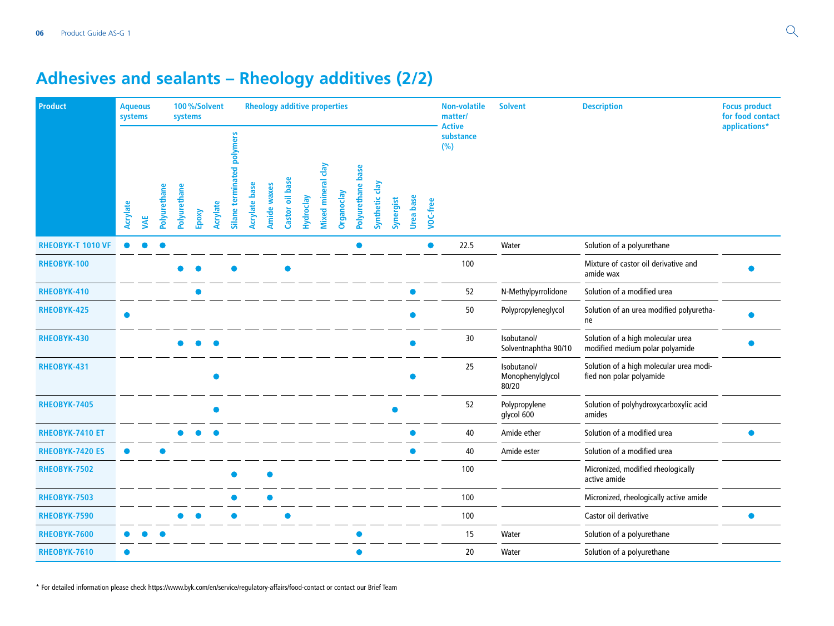# **Adhesives and sealants – Rheology additives (2/2)**

| Product                  | <b>Aqueous</b><br>systems |     |              | systems      |       | 100%/Solvent |                               |               | <b>Rheology additive properties</b> |                 |           |                    |            |                   |                |           |                  |          | <b>Non-volatile</b><br>matter/    | <b>Solvent</b>                           | <b>Description</b>                                                   | <b>Focus product</b><br>for food contact |
|--------------------------|---------------------------|-----|--------------|--------------|-------|--------------|-------------------------------|---------------|-------------------------------------|-----------------|-----------|--------------------|------------|-------------------|----------------|-----------|------------------|----------|-----------------------------------|------------------------------------------|----------------------------------------------------------------------|------------------------------------------|
|                          | Acrylate                  | VAE | Polyurethane | Polyurethane | Epoxy | Acrylate     | polymers<br>Silane terminated | Acrylate base | <b>Amide waxes</b>                  | Castor oil base | Hydroclay | Mixed mineral clay | Organoclay | Polyurethane base | Synthetic clay | Synergist | <b>Urea</b> base | VOC-free | <b>Active</b><br>substance<br>(%) |                                          |                                                                      | applications*                            |
| <b>RHEOBYK-T 1010 VF</b> |                           |     |              |              |       |              |                               |               |                                     |                 |           |                    |            |                   |                |           |                  |          | 22.5                              | Water                                    | Solution of a polyurethane                                           |                                          |
| <b>RHEOBYK-100</b>       |                           |     |              |              |       |              |                               |               |                                     |                 |           |                    |            |                   |                |           |                  |          | 100                               |                                          | Mixture of castor oil derivative and<br>amide wax                    |                                          |
| RHEOBYK-410              |                           |     |              |              |       |              |                               |               |                                     |                 |           |                    |            |                   |                |           |                  |          | 52                                | N-Methylpyrrolidone                      | Solution of a modified urea                                          |                                          |
| RHEOBYK-425              |                           |     |              |              |       |              |                               |               |                                     |                 |           |                    |            |                   |                |           |                  |          | 50                                | Polypropyleneglycol                      | Solution of an urea modified polyuretha-<br>ne                       |                                          |
| RHEOBYK-430              |                           |     |              |              |       |              |                               |               |                                     |                 |           |                    |            |                   |                |           |                  |          | 30                                | Isobutanol/<br>Solventnaphtha 90/10      | Solution of a high molecular urea<br>modified medium polar polyamide |                                          |
| RHEOBYK-431              |                           |     |              |              |       |              |                               |               |                                     |                 |           |                    |            |                   |                |           |                  |          | 25                                | Isobutanol/<br>Monophenylglycol<br>80/20 | Solution of a high molecular urea modi-<br>fied non polar polyamide  |                                          |
| <b>RHEOBYK-7405</b>      |                           |     |              |              |       |              |                               |               |                                     |                 |           |                    |            |                   |                |           |                  |          | 52                                | Polypropylene<br>glycol 600              | Solution of polyhydroxycarboxylic acid<br>amides                     |                                          |
| RHEOBYK-7410 ET          |                           |     |              |              |       |              |                               |               |                                     |                 |           |                    |            |                   |                |           |                  |          | 40                                | Amide ether                              | Solution of a modified urea                                          | $\bullet$                                |
| <b>RHEOBYK-7420 ES</b>   | $\bullet$                 |     |              |              |       |              |                               |               |                                     |                 |           |                    |            |                   |                |           |                  |          | 40                                | Amide ester                              | Solution of a modified urea                                          |                                          |
| RHEOBYK-7502             |                           |     |              |              |       |              |                               |               |                                     |                 |           |                    |            |                   |                |           |                  |          | 100                               |                                          | Micronized, modified rheologically<br>active amide                   |                                          |
| RHEOBYK-7503             |                           |     |              |              |       |              |                               |               |                                     |                 |           |                    |            |                   |                |           |                  |          | 100                               |                                          | Micronized, rheologically active amide                               |                                          |
| RHEOBYK-7590             |                           |     |              |              |       |              |                               |               |                                     |                 |           |                    |            |                   |                |           |                  |          | 100                               |                                          | Castor oil derivative                                                |                                          |
| RHEOBYK-7600             |                           |     |              |              |       |              |                               |               |                                     |                 |           |                    |            |                   |                |           |                  |          | 15                                | Water                                    | Solution of a polyurethane                                           |                                          |
| RHEOBYK-7610             |                           |     |              |              |       |              |                               |               |                                     |                 |           |                    |            |                   |                |           |                  |          | 20                                | Water                                    | Solution of a polyurethane                                           |                                          |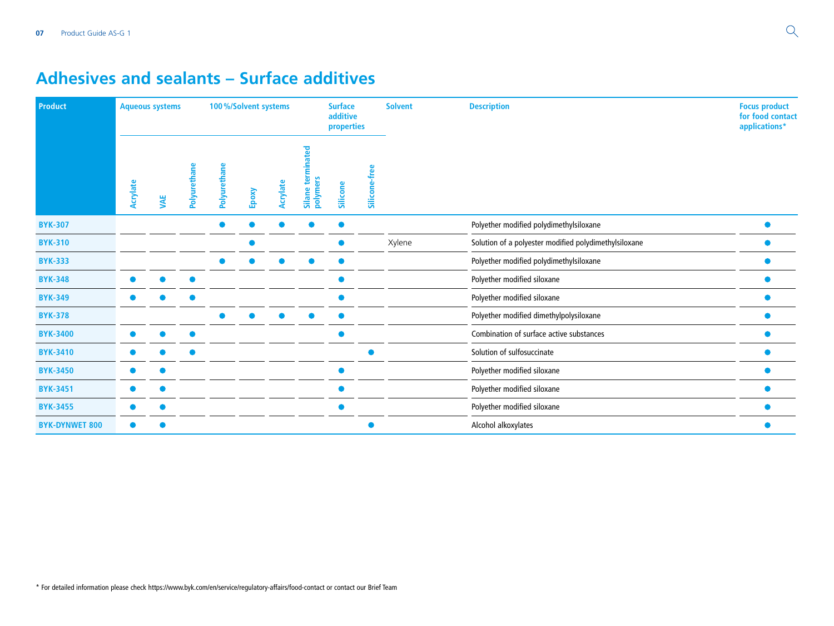### **Adhesives and sealants – Surface additives**

| Product               | <b>Aqueous systems</b> |           |           |                 | 100%/Solvent systems |          |                        | <b>Surface</b><br>additive<br>properties |               | <b>Solvent</b> | <b>Description</b>                                    | <b>Focus product</b><br>for food contact<br>applications* |
|-----------------------|------------------------|-----------|-----------|-----------------|----------------------|----------|------------------------|------------------------------------------|---------------|----------------|-------------------------------------------------------|-----------------------------------------------------------|
|                       | Acrylate               | <b>WE</b> | Polyureth | ā<br>Polyuretha | Epoxy                | Acrylate | Silane ter<br>polymers | Silicone                                 | Silicone-free |                |                                                       |                                                           |
| <b>BYK-307</b>        |                        |           |           |                 |                      |          |                        |                                          |               |                | Polyether modified polydimethylsiloxane               |                                                           |
| <b>BYK-310</b>        |                        |           |           |                 |                      |          |                        |                                          |               | Xylene         | Solution of a polyester modified polydimethylsiloxane |                                                           |
| <b>BYK-333</b>        |                        |           |           |                 |                      |          |                        |                                          |               |                | Polyether modified polydimethylsiloxane               |                                                           |
| <b>BYK-348</b>        |                        |           |           |                 |                      |          |                        |                                          |               |                | Polyether modified siloxane                           |                                                           |
| <b>BYK-349</b>        |                        |           |           |                 |                      |          |                        |                                          |               |                | Polyether modified siloxane                           |                                                           |
| <b>BYK-378</b>        |                        |           |           |                 |                      |          |                        |                                          |               |                | Polyether modified dimethylpolysiloxane               |                                                           |
| <b>BYK-3400</b>       |                        |           |           |                 |                      |          |                        |                                          |               |                | Combination of surface active substances              |                                                           |
| <b>BYK-3410</b>       |                        |           |           |                 |                      |          |                        |                                          |               |                | Solution of sulfosuccinate                            |                                                           |
| <b>BYK-3450</b>       |                        |           |           |                 |                      |          |                        |                                          |               |                | Polyether modified siloxane                           |                                                           |
| <b>BYK-3451</b>       |                        |           |           |                 |                      |          |                        |                                          |               |                | Polyether modified siloxane                           |                                                           |
| <b>BYK-3455</b>       |                        |           |           |                 |                      |          |                        |                                          |               |                | Polyether modified siloxane                           |                                                           |
| <b>BYK-DYNWET 800</b> |                        |           |           |                 |                      |          |                        |                                          |               |                | Alcohol alkoxylates                                   |                                                           |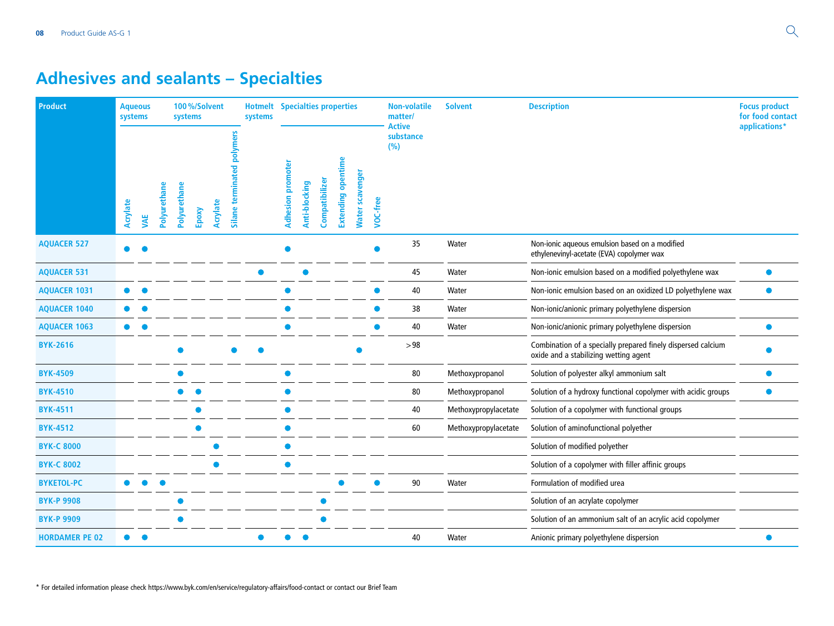# **Adhesives and sealants – Specialties**

| <b>Product</b>        | <b>Aqueous</b><br>systems |            |              | systems      | 100%/Solvent |          |                            | <b>Hotmelt</b> Specialties properties<br>systems |                          |               |                |                           |                        |                 | <b>Non-volatile</b><br>matter/    | <b>Solvent</b>       | <b>Description</b>                                                                                    | <b>Focus product</b><br>for food contact |
|-----------------------|---------------------------|------------|--------------|--------------|--------------|----------|----------------------------|--------------------------------------------------|--------------------------|---------------|----------------|---------------------------|------------------------|-----------------|-----------------------------------|----------------------|-------------------------------------------------------------------------------------------------------|------------------------------------------|
|                       | Acrylate                  | <b>WAE</b> | Polyurethane | Polyurethane | Epoxy        | Acrylate | Silane terminated polymers |                                                  | <b>Adhesion promoter</b> | Anti-blocking | Compatibilizer | <b>Extending opentime</b> | <b>Nater scavenger</b> | <b>VOC-free</b> | <b>Active</b><br>substance<br>(%) |                      |                                                                                                       | applications*                            |
| <b>AQUACER 527</b>    |                           |            |              |              |              |          |                            |                                                  |                          |               |                |                           |                        |                 | 35                                | Water                | Non-ionic aqueous emulsion based on a modified<br>ethylenevinyl-acetate (EVA) copolymer wax           |                                          |
| <b>AQUACER 531</b>    |                           |            |              |              |              |          |                            |                                                  |                          |               |                |                           |                        |                 | 45                                | Water                | Non-ionic emulsion based on a modified polyethylene wax                                               |                                          |
| <b>AQUACER 1031</b>   |                           |            |              |              |              |          |                            |                                                  |                          |               |                |                           |                        |                 | 40                                | Water                | Non-ionic emulsion based on an oxidized LD polyethylene wax                                           | $\bullet$                                |
| <b>AQUACER 1040</b>   |                           |            |              |              |              |          |                            |                                                  |                          |               |                |                           |                        |                 | 38                                | Water                | Non-ionic/anionic primary polyethylene dispersion                                                     |                                          |
| <b>AQUACER 1063</b>   | $\bullet$                 |            |              |              |              |          |                            |                                                  |                          |               |                |                           |                        |                 | 40                                | Water                | Non-ionic/anionic primary polyethylene dispersion                                                     |                                          |
| <b>BYK-2616</b>       |                           |            |              |              |              |          |                            |                                                  |                          |               |                |                           |                        |                 | >98                               |                      | Combination of a specially prepared finely dispersed calcium<br>oxide and a stabilizing wetting agent |                                          |
| <b>BYK-4509</b>       |                           |            |              |              |              |          |                            |                                                  |                          |               |                |                           |                        |                 | 80                                | Methoxypropanol      | Solution of polyester alkyl ammonium salt                                                             |                                          |
| <b>BYK-4510</b>       |                           |            |              |              |              |          |                            |                                                  |                          |               |                |                           |                        |                 | 80                                | Methoxypropanol      | Solution of a hydroxy functional copolymer with acidic groups                                         |                                          |
| <b>BYK-4511</b>       |                           |            |              |              |              |          |                            |                                                  |                          |               |                |                           |                        |                 | 40                                | Methoxypropylacetate | Solution of a copolymer with functional groups                                                        |                                          |
| <b>BYK-4512</b>       |                           |            |              |              |              |          |                            |                                                  |                          |               |                |                           |                        |                 | 60                                | Methoxypropylacetate | Solution of aminofunctional polyether                                                                 |                                          |
| <b>BYK-C 8000</b>     |                           |            |              |              |              |          |                            |                                                  |                          |               |                |                           |                        |                 |                                   |                      | Solution of modified polyether                                                                        |                                          |
| <b>BYK-C 8002</b>     |                           |            |              |              |              |          |                            |                                                  |                          |               |                |                           |                        |                 |                                   |                      | Solution of a copolymer with filler affinic groups                                                    |                                          |
| <b>BYKETOL-PC</b>     | $\bullet$                 |            |              |              |              |          |                            |                                                  |                          |               |                |                           |                        |                 | 90                                | Water                | Formulation of modified urea                                                                          |                                          |
| <b>BYK-P 9908</b>     |                           |            |              |              |              |          |                            |                                                  |                          |               |                |                           |                        |                 |                                   |                      | Solution of an acrylate copolymer                                                                     |                                          |
| <b>BYK-P 9909</b>     |                           |            |              |              |              |          |                            |                                                  |                          |               |                |                           |                        |                 |                                   |                      | Solution of an ammonium salt of an acrylic acid copolymer                                             |                                          |
| <b>HORDAMER PE 02</b> |                           |            |              |              |              |          |                            |                                                  |                          |               |                |                           |                        |                 | 40                                | Water                | Anionic primary polyethylene dispersion                                                               |                                          |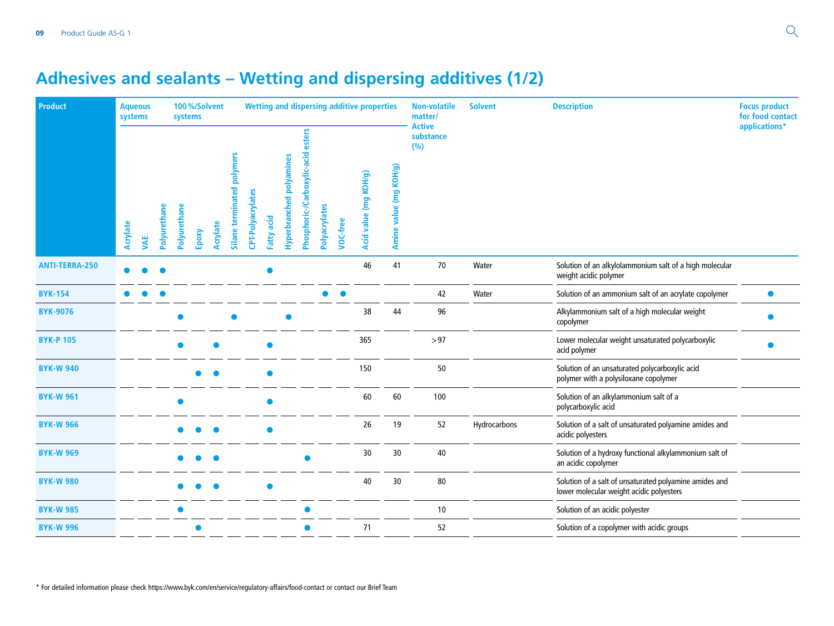# **Adhesives and sealants – Wetting and dispersing additives (1/2)**

| <b>Product</b>        | systems  | <b>Aqueous</b> |              | systems      |       | 100%/Solvent |                            |                   |            |                          |                                       |               |          | <b>Wetting and dispersing additive properties</b> |                        | <b>Non-volatile</b><br>matter/    | <b>Solvent</b> | <b>Description</b>                                                                                 | <b>Focus product</b><br>for food contact |
|-----------------------|----------|----------------|--------------|--------------|-------|--------------|----------------------------|-------------------|------------|--------------------------|---------------------------------------|---------------|----------|---------------------------------------------------|------------------------|-----------------------------------|----------------|----------------------------------------------------------------------------------------------------|------------------------------------------|
|                       | Acrylate | <b>WAE</b>     | Polyurethane | Polyurethane | Epoxy | Acrylate     | Silane terminated polymers | CPT-Polyacrylates | Fatty acid | Hyperbranched polyamines | esters<br>Phosphoric-/Carboxylic-acid | Polyacrylates | VOC-free | Acid value (mg KOH/g)                             | Amine value (mg KOH/g) | <b>Active</b><br>substance<br>(%) |                |                                                                                                    | applications*                            |
| <b>ANTI-TERRA-250</b> |          |                |              |              |       |              |                            |                   |            |                          |                                       |               |          | 46                                                | 41                     | 70                                | Water          | Solution of an alkylolammonium salt of a high molecular<br>weight acidic polymer                   |                                          |
| <b>BYK-154</b>        |          |                |              |              |       |              |                            |                   |            |                          |                                       |               |          |                                                   |                        | 42                                | Water          | Solution of an ammonium salt of an acrylate copolymer                                              | $\bullet$                                |
| <b>BYK-9076</b>       |          |                |              |              |       |              |                            |                   |            |                          |                                       |               |          | 38                                                | 44                     | 96                                |                | Alkylammonium salt of a high molecular weight<br>copolymer                                         |                                          |
| <b>BYK-P 105</b>      |          |                |              |              |       |              |                            |                   |            |                          |                                       |               |          | 365                                               |                        | >97                               |                | Lower molecular weight unsaturated polycarboxylic<br>acid polymer                                  |                                          |
| <b>BYK-W 940</b>      |          |                |              |              |       |              |                            |                   |            |                          |                                       |               |          | 150                                               |                        | 50                                |                | Solution of an unsaturated polycarboxylic acid<br>polymer with a polysiloxane copolymer            |                                          |
| <b>BYK-W 961</b>      |          |                |              |              |       |              |                            |                   |            |                          |                                       |               |          | 60                                                | 60                     | 100                               |                | Solution of an alkylammonium salt of a<br>polycarboxylic acid                                      |                                          |
| <b>BYK-W 966</b>      |          |                |              |              |       |              |                            |                   |            |                          |                                       |               |          | 26                                                | 19                     | 52                                | Hydrocarbons   | Solution of a salt of unsaturated polyamine amides and<br>acidic polyesters                        |                                          |
| <b>BYK-W 969</b>      |          |                |              |              |       |              |                            |                   |            |                          |                                       |               |          | 30                                                | 30                     | 40                                |                | Solution of a hydroxy functional alkylammonium salt of<br>an acidic copolymer                      |                                          |
| <b>BYK-W 980</b>      |          |                |              |              |       |              |                            |                   |            |                          |                                       |               |          | 40                                                | 30                     | 80                                |                | Solution of a salt of unsaturated polyamine amides and<br>lower molecular weight acidic polyesters |                                          |
| <b>BYK-W 985</b>      |          |                |              |              |       |              |                            |                   |            |                          |                                       |               |          |                                                   |                        | 10                                |                | Solution of an acidic polyester                                                                    |                                          |
| <b>BYK-W 996</b>      |          |                |              |              |       |              |                            |                   |            |                          |                                       |               |          | 71                                                |                        | 52                                |                | Solution of a copolymer with acidic groups                                                         |                                          |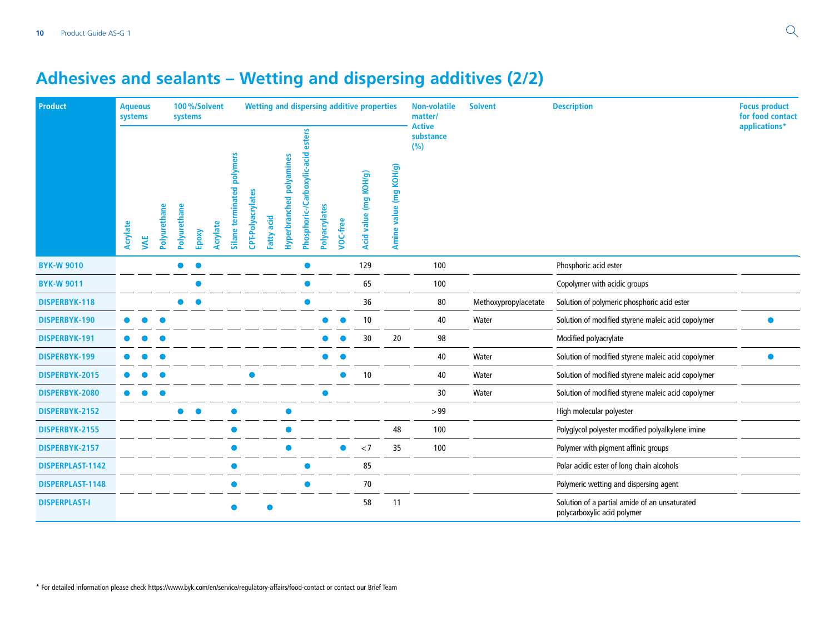# **Adhesives and sealants – Wetting and dispersing additives (2/2)**

| Product              | <b>Aqueous</b><br>systems |            |              | systems      |       | 100%/Solvent |                            |                   |            |                                    |                                       |               |          | <b>Wetting and dispersing additive properties</b> |                                     | <b>Non-volatile</b><br>matter/    | <b>Solvent</b>       | <b>Description</b>                                                           | <b>Focus product</b><br>for food contact |
|----------------------|---------------------------|------------|--------------|--------------|-------|--------------|----------------------------|-------------------|------------|------------------------------------|---------------------------------------|---------------|----------|---------------------------------------------------|-------------------------------------|-----------------------------------|----------------------|------------------------------------------------------------------------------|------------------------------------------|
|                      | Acrylate                  | <b>VAE</b> | Polyurethane | Polyurethane | Epoxy | Acrylate     | Silane terminated polymers | CPT-Polyacrylates | Fatty acid | polyamines<br><b>Hyperbranched</b> | esters<br>Phosphoric-/Carboxylic-acid | Polyacrylates | VOC-free | KOH/g)<br><b>gum</b><br><b>Acid value</b>         | (mg KOH/g)<br>value<br><b>Amine</b> | <b>Active</b><br>substance<br>(%) |                      |                                                                              | applications*                            |
| <b>BYK-W 9010</b>    |                           |            |              |              |       |              |                            |                   |            |                                    |                                       |               |          | 129                                               |                                     | 100                               |                      | Phosphoric acid ester                                                        |                                          |
| <b>BYK-W 9011</b>    |                           |            |              |              |       |              |                            |                   |            |                                    |                                       |               |          | 65                                                |                                     | 100                               |                      | Copolymer with acidic groups                                                 |                                          |
| <b>DISPERBYK-118</b> |                           |            |              |              |       |              |                            |                   |            |                                    |                                       |               |          | 36                                                |                                     | 80                                | Methoxypropylacetate | Solution of polymeric phosphoric acid ester                                  |                                          |
| DISPERBYK-190        |                           |            |              |              |       |              |                            |                   |            |                                    |                                       |               |          | 10                                                |                                     | 40                                | Water                | Solution of modified styrene maleic acid copolymer                           |                                          |
| DISPERBYK-191        |                           |            |              |              |       |              |                            |                   |            |                                    |                                       |               |          | 30                                                | 20                                  | 98                                |                      | Modified polyacrylate                                                        |                                          |
| DISPERBYK-199        |                           |            |              |              |       |              |                            |                   |            |                                    |                                       |               |          |                                                   |                                     | 40                                | Water                | Solution of modified styrene maleic acid copolymer                           |                                          |
| DISPERBYK-2015       |                           |            |              |              |       |              |                            |                   |            |                                    |                                       |               |          | 10                                                |                                     | 40                                | Water                | Solution of modified styrene maleic acid copolymer                           |                                          |
| DISPERBYK-2080       |                           |            |              |              |       |              |                            |                   |            |                                    |                                       |               |          |                                                   |                                     | 30                                | Water                | Solution of modified styrene maleic acid copolymer                           |                                          |
| DISPERBYK-2152       |                           |            |              |              |       |              |                            |                   |            |                                    |                                       |               |          |                                                   |                                     | >99                               |                      | High molecular polyester                                                     |                                          |
| DISPERBYK-2155       |                           |            |              |              |       |              |                            |                   |            |                                    |                                       |               |          |                                                   | 48                                  | 100                               |                      | Polyglycol polyester modified polyalkylene imine                             |                                          |
| DISPERBYK-2157       |                           |            |              |              |       |              |                            |                   |            |                                    |                                       |               |          | < 7                                               | 35                                  | 100                               |                      | Polymer with pigment affinic groups                                          |                                          |
| DISPERPLAST-1142     |                           |            |              |              |       |              |                            |                   |            |                                    |                                       |               |          | 85                                                |                                     |                                   |                      | Polar acidic ester of long chain alcohols                                    |                                          |
| DISPERPLAST-1148     |                           |            |              |              |       |              |                            |                   |            |                                    |                                       |               |          | $70\,$                                            |                                     |                                   |                      | Polymeric wetting and dispersing agent                                       |                                          |
| <b>DISPERPLAST-I</b> |                           |            |              |              |       |              |                            |                   |            |                                    |                                       |               |          | 58                                                | 11                                  |                                   |                      | Solution of a partial amide of an unsaturated<br>polycarboxylic acid polymer |                                          |